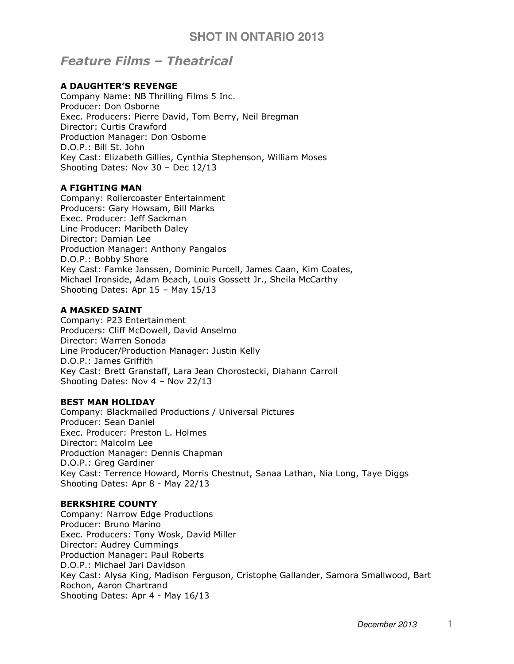# Feature Films – Theatrical

#### A DAUGHTER'S REVENGE

Company Name: NB Thrilling Films 5 Inc. Producer: Don Osborne Exec. Producers: Pierre David, Tom Berry, Neil Bregman Director: Curtis Crawford Production Manager: Don Osborne D.O.P.: Bill St. John Key Cast: Elizabeth Gillies, Cynthia Stephenson, William Moses Shooting Dates: Nov 30 – Dec 12/13

#### A FIGHTING MAN

Company: Rollercoaster Entertainment Producers: Gary Howsam, Bill Marks Exec. Producer: Jeff Sackman Line Producer: Maribeth Daley Director: Damian Lee Production Manager: Anthony Pangalos D.O.P.: Bobby Shore Key Cast: Famke Janssen, Dominic Purcell, James Caan, Kim Coates, Michael Ironside, Adam Beach, Louis Gossett Jr., Sheila McCarthy Shooting Dates: Apr 15 – May 15/13

#### A MASKED SAINT

Company: P23 Entertainment Producers: Cliff McDowell, David Anselmo Director: Warren Sonoda Line Producer/Production Manager: Justin Kelly D.O.P.: James Griffith Key Cast: Brett Granstaff, Lara Jean Chorostecki, Diahann Carroll Shooting Dates: Nov 4 – Nov 22/13

#### BEST MAN HOLIDAY

Company: Blackmailed Productions / Universal Pictures Producer: Sean Daniel Exec. Producer: Preston L. Holmes Director: Malcolm Lee Production Manager: Dennis Chapman D.O.P.: Greg Gardiner Key Cast: Terrence Howard, Morris Chestnut, Sanaa Lathan, Nia Long, Taye Diggs Shooting Dates: Apr 8 - May 22/13

#### BERKSHIRE COUNTY

Company: Narrow Edge Productions Producer: Bruno Marino Exec. Producers: Tony Wosk, David Miller Director: Audrey Cummings Production Manager: Paul Roberts D.O.P.: Michael Jari Davidson Key Cast: Alysa King, Madison Ferguson, Cristophe Gallander, Samora Smallwood, Bart Rochon, Aaron Chartrand Shooting Dates: Apr 4 - May 16/13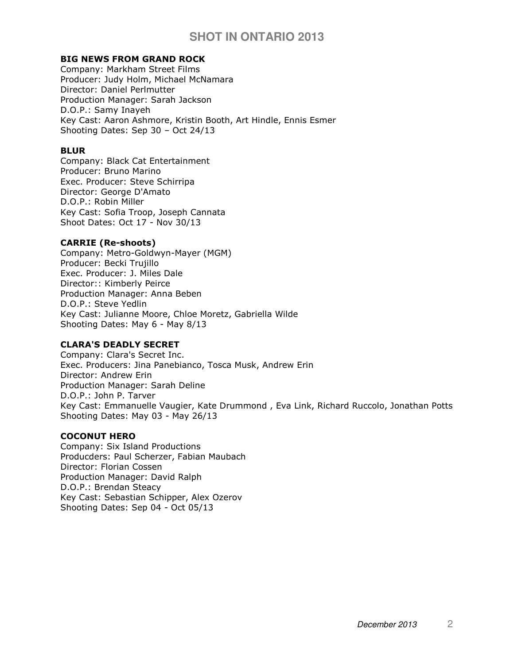## BIG NEWS FROM GRAND ROCK

Company: Markham Street Films Producer: Judy Holm, Michael McNamara Director: Daniel Perlmutter Production Manager: Sarah Jackson D.O.P.: Samy Inayeh Key Cast: Aaron Ashmore, Kristin Booth, Art Hindle, Ennis Esmer Shooting Dates: Sep 30 – Oct 24/13

## BLUR

Company: Black Cat Entertainment Producer: Bruno Marino Exec. Producer: Steve Schirripa Director: George D'Amato D.O.P.: Robin Miller Key Cast: Sofia Troop, Joseph Cannata Shoot Dates: Oct 17 - Nov 30/13

## CARRIE (Re-shoots)

Company: Metro-Goldwyn-Mayer (MGM) Producer: Becki Trujillo Exec. Producer: J. Miles Dale Director:: Kimberly Peirce Production Manager: Anna Beben D.O.P.: Steve Yedlin Key Cast: Julianne Moore, Chloe Moretz, Gabriella Wilde Shooting Dates: May 6 - May 8/13

## CLARA'S DEADLY SECRET

Company: Clara's Secret Inc. Exec. Producers: Jina Panebianco, Tosca Musk, Andrew Erin Director: Andrew Erin Production Manager: Sarah Deline D.O.P.: John P. Tarver Key Cast: Emmanuelle Vaugier, Kate Drummond , Eva Link, Richard Ruccolo, Jonathan Potts Shooting Dates: May 03 - May 26/13

## COCONUT HERO

Company: Six Island Productions Producders: Paul Scherzer, Fabian Maubach Director: Florian Cossen Production Manager: David Ralph D.O.P.: Brendan Steacy Key Cast: Sebastian Schipper, Alex Ozerov Shooting Dates: Sep 04 - Oct 05/13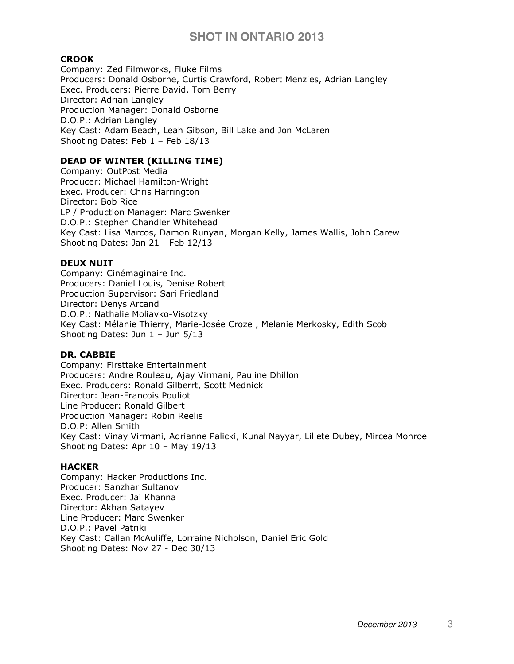## CROOK

Company: Zed Filmworks, Fluke Films Producers: Donald Osborne, Curtis Crawford, Robert Menzies, Adrian Langley Exec. Producers: Pierre David, Tom Berry Director: Adrian Langley Production Manager: Donald Osborne D.O.P.: Adrian Langley Key Cast: Adam Beach, Leah Gibson, Bill Lake and Jon McLaren Shooting Dates: Feb 1 – Feb 18/13

## DEAD OF WINTER (KILLING TIME)

Company: OutPost Media Producer: Michael Hamilton-Wright Exec. Producer: Chris Harrington Director: Bob Rice LP / Production Manager: Marc Swenker D.O.P.: Stephen Chandler Whitehead Key Cast: Lisa Marcos, Damon Runyan, Morgan Kelly, James Wallis, John Carew Shooting Dates: Jan 21 - Feb 12/13

#### DEUX NUIT

Company: Cinémaginaire Inc. Producers: Daniel Louis, Denise Robert Production Supervisor: Sari Friedland Director: Denys Arcand D.O.P.: Nathalie Moliavko-Visotzky Key Cast: Mélanie Thierry, Marie-Josée Croze , Melanie Merkosky, Edith Scob Shooting Dates: Jun 1 – Jun 5/13

## DR. CABBIE

Company: Firsttake Entertainment Producers: Andre Rouleau, Ajay Virmani, Pauline Dhillon Exec. Producers: Ronald Gilberrt, Scott Mednick Director: Jean-Francois Pouliot Line Producer: Ronald Gilbert Production Manager: Robin Reelis D.O.P: Allen Smith Key Cast: Vinay Virmani, Adrianne Palicki, Kunal Nayyar, Lillete Dubey, Mircea Monroe Shooting Dates: Apr 10 – May 19/13

#### **HACKER**

Company: Hacker Productions Inc. Producer: Sanzhar Sultanov Exec. Producer: Jai Khanna Director: Akhan Satayev Line Producer: Marc Swenker D.O.P.: Pavel Patriki Key Cast: Callan McAuliffe, Lorraine Nicholson, Daniel Eric Gold Shooting Dates: Nov 27 - Dec 30/13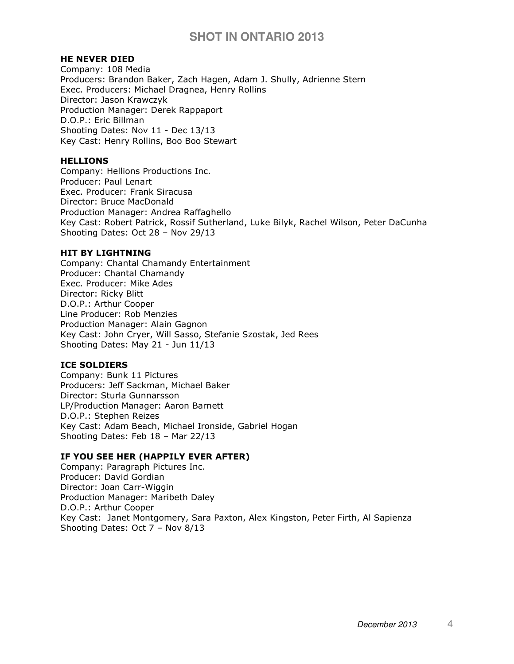## HE NEVER DIED

Company: 108 Media Producers: Brandon Baker, Zach Hagen, Adam J. Shully, Adrienne Stern Exec. Producers: Michael Dragnea, Henry Rollins Director: Jason Krawczyk Production Manager: Derek Rappaport D.O.P.: Eric Billman Shooting Dates: Nov 11 - Dec 13/13 Key Cast: Henry Rollins, Boo Boo Stewart

#### **HELLIONS**

Company: Hellions Productions Inc. Producer: Paul Lenart Exec. Producer: Frank Siracusa Director: Bruce MacDonald Production Manager: Andrea Raffaghello Key Cast: Robert Patrick, Rossif Sutherland, Luke Bilyk, Rachel Wilson, Peter DaCunha Shooting Dates: Oct 28 – Nov 29/13

#### HIT BY LIGHTNING

Company: Chantal Chamandy Entertainment Producer: Chantal Chamandy Exec. Producer: Mike Ades Director: Ricky Blitt D.O.P.: Arthur Cooper Line Producer: Rob Menzies Production Manager: Alain Gagnon Key Cast: John Cryer, Will Sasso, Stefanie Szostak, Jed Rees Shooting Dates: May 21 - Jun 11/13

## ICE SOLDIERS

Company: Bunk 11 Pictures Producers: Jeff Sackman, Michael Baker Director: Sturla Gunnarsson LP/Production Manager: Aaron Barnett D.O.P.: Stephen Reizes Key Cast: Adam Beach, Michael Ironside, Gabriel Hogan Shooting Dates: Feb 18 – Mar 22/13

## IF YOU SEE HER (HAPPILY EVER AFTER)

Company: Paragraph Pictures Inc. Producer: David Gordian Director: Joan Carr-Wiggin Production Manager: Maribeth Daley D.O.P.: Arthur Cooper Key Cast: Janet Montgomery, Sara Paxton, Alex Kingston, Peter Firth, Al Sapienza Shooting Dates: Oct 7 – Nov 8/13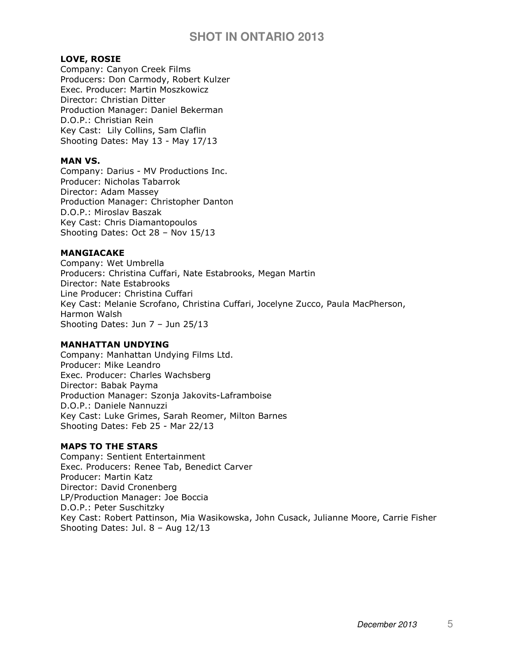## LOVE, ROSIE

Company: Canyon Creek Films Producers: Don Carmody, Robert Kulzer Exec. Producer: Martin Moszkowicz Director: Christian Ditter Production Manager: Daniel Bekerman D.O.P.: Christian Rein Key Cast: Lily Collins, Sam Claflin Shooting Dates: May 13 - May 17/13

## MAN VS.

Company: Darius - MV Productions Inc. Producer: Nicholas Tabarrok Director: Adam Massey Production Manager: Christopher Danton D.O.P.: Miroslav Baszak Key Cast: Chris Diamantopoulos Shooting Dates: Oct 28 – Nov 15/13

#### MANGIACAKE

Company: Wet Umbrella Producers: Christina Cuffari, Nate Estabrooks, Megan Martin Director: Nate Estabrooks Line Producer: Christina Cuffari Key Cast: Melanie Scrofano, Christina Cuffari, Jocelyne Zucco, Paula MacPherson, Harmon Walsh Shooting Dates: Jun 7 – Jun 25/13

#### MANHATTAN UNDYING

Company: Manhattan Undying Films Ltd. Producer: Mike Leandro Exec. Producer: Charles Wachsberg Director: Babak Payma Production Manager: Szonja Jakovits-Laframboise D.O.P.: Daniele Nannuzzi Key Cast: Luke Grimes, Sarah Reomer, Milton Barnes Shooting Dates: Feb 25 - Mar 22/13

## MAPS TO THE STARS

Company: Sentient Entertainment Exec. Producers: Renee Tab, Benedict Carver Producer: Martin Katz Director: David Cronenberg LP/Production Manager: Joe Boccia D.O.P.: Peter Suschitzky Key Cast: Robert Pattinson, Mia Wasikowska, John Cusack, Julianne Moore, Carrie Fisher Shooting Dates: Jul. 8 – Aug 12/13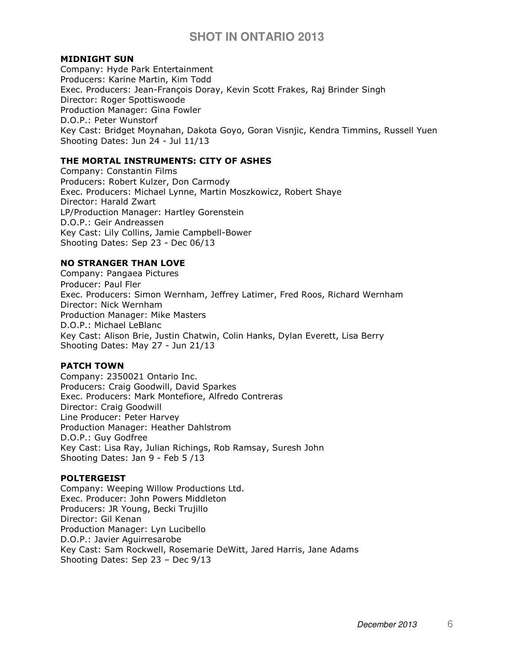#### MIDNIGHT SUN

Company: Hyde Park Entertainment Producers: Karine Martin, Kim Todd Exec. Producers: Jean-François Doray, Kevin Scott Frakes, Raj Brinder Singh Director: Roger Spottiswoode Production Manager: Gina Fowler D.O.P.: Peter Wunstorf Key Cast: Bridget Moynahan, Dakota Goyo, Goran Visnjic, Kendra Timmins, Russell Yuen Shooting Dates: Jun 24 - Jul 11/13

## THE MORTAL INSTRUMENTS: CITY OF ASHES

Company: Constantin Films Producers: Robert Kulzer, Don Carmody Exec. Producers: Michael Lynne, Martin Moszkowicz, Robert Shaye Director: Harald Zwart LP/Production Manager: Hartley Gorenstein D.O.P.: Geir Andreassen Key Cast: Lily Collins, Jamie Campbell-Bower Shooting Dates: Sep 23 - Dec 06/13

#### NO STRANGER THAN LOVE

Company: Pangaea Pictures Producer: Paul Fler Exec. Producers: Simon Wernham, Jeffrey Latimer, Fred Roos, Richard Wernham Director: Nick Wernham Production Manager: Mike Masters D.O.P.: Michael LeBlanc Key Cast: Alison Brie, Justin Chatwin, Colin Hanks, Dylan Everett, Lisa Berry Shooting Dates: May 27 - Jun 21/13

## PATCH TOWN

Company: 2350021 Ontario Inc. Producers: Craig Goodwill, David Sparkes Exec. Producers: Mark Montefiore, Alfredo Contreras Director: Craig Goodwill Line Producer: Peter Harvey Production Manager: Heather Dahlstrom D.O.P.: Guy Godfree Key Cast: Lisa Ray, Julian Richings, Rob Ramsay, Suresh John Shooting Dates: Jan 9 - Feb 5 /13

#### POLTERGEIST

Company: Weeping Willow Productions Ltd. Exec. Producer: John Powers Middleton Producers: JR Young, Becki Trujillo Director: Gil Kenan Production Manager: Lyn Lucibello D.O.P.: Javier Aguirresarobe Key Cast: Sam Rockwell, Rosemarie DeWitt, Jared Harris, Jane Adams Shooting Dates: Sep 23 – Dec 9/13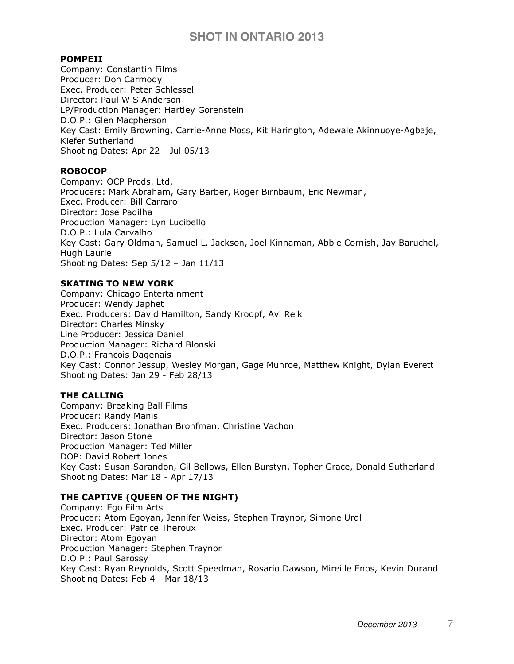#### POMPEII

Company: Constantin Films Producer: Don Carmody Exec. Producer: Peter Schlessel Director: Paul W S Anderson LP/Production Manager: Hartley Gorenstein D.O.P.: Glen Macpherson Key Cast: Emily Browning, Carrie-Anne Moss, Kit Harington, Adewale Akinnuoye-Agbaje, Kiefer Sutherland Shooting Dates: Apr 22 - Jul 05/13

## ROBOCOP

Company: OCP Prods. Ltd. Producers: Mark Abraham, Gary Barber, Roger Birnbaum, Eric Newman, Exec. Producer: Bill Carraro Director: Jose Padilha Production Manager: Lyn Lucibello D.O.P.: Lula Carvalho Key Cast: Gary Oldman, Samuel L. Jackson, Joel Kinnaman, Abbie Cornish, Jay Baruchel, Hugh Laurie Shooting Dates: Sep 5/12 – Jan 11/13

#### SKATING TO NEW YORK

Company: Chicago Entertainment Producer: Wendy Japhet Exec. Producers: David Hamilton, Sandy Kroopf, Avi Reik Director: Charles Minsky Line Producer: Jessica Daniel Production Manager: Richard Blonski D.O.P.: Francois Dagenais Key Cast: Connor Jessup, Wesley Morgan, Gage Munroe, Matthew Knight, Dylan Everett Shooting Dates: Jan 29 - Feb 28/13

#### THE CALLING

Company: Breaking Ball Films Producer: Randy Manis Exec. Producers: Jonathan Bronfman, Christine Vachon Director: Jason Stone Production Manager: Ted Miller DOP: David Robert Jones Key Cast: Susan Sarandon, Gil Bellows, Ellen Burstyn, Topher Grace, Donald Sutherland Shooting Dates: Mar 18 - Apr 17/13

## THE CAPTIVE (QUEEN OF THE NIGHT)

Company: Ego Film Arts Producer: Atom Egoyan, Jennifer Weiss, Stephen Traynor, Simone Urdl Exec. Producer: Patrice Theroux Director: Atom Egoyan Production Manager: Stephen Traynor D.O.P.: Paul Sarossy Key Cast: Ryan Reynolds, Scott Speedman, Rosario Dawson, Mireille Enos, Kevin Durand Shooting Dates: Feb 4 - Mar 18/13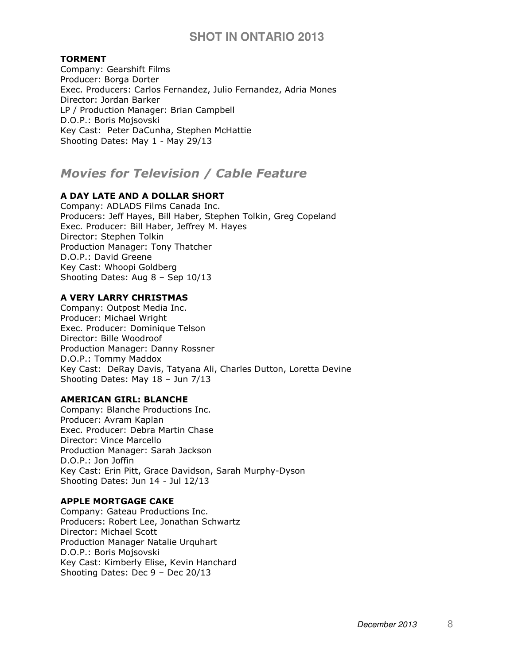## TORMENT

Company: Gearshift Films Producer: Borga Dorter Exec. Producers: Carlos Fernandez, Julio Fernandez, Adria Mones Director: Jordan Barker LP / Production Manager: Brian Campbell D.O.P.: Boris Mojsovski Key Cast: Peter DaCunha, Stephen McHattie Shooting Dates: May 1 - May 29/13

# Movies for Television / Cable Feature

## A DAY LATE AND A DOLLAR SHORT

Company: ADLADS Films Canada Inc. Producers: Jeff Hayes, Bill Haber, Stephen Tolkin, Greg Copeland Exec. Producer: Bill Haber, Jeffrey M. Hayes Director: Stephen Tolkin Production Manager: Tony Thatcher D.O.P.: David Greene Key Cast: Whoopi Goldberg Shooting Dates: Aug 8 – Sep 10/13

## A VERY LARRY CHRISTMAS

Company: Outpost Media Inc. Producer: Michael Wright Exec. Producer: Dominique Telson Director: Bille Woodroof Production Manager: Danny Rossner D.O.P.: Tommy Maddox Key Cast: DeRay Davis, Tatyana Ali, Charles Dutton, Loretta Devine Shooting Dates: May 18 – Jun 7/13

#### AMERICAN GIRL: BLANCHE

Company: Blanche Productions Inc. Producer: Avram Kaplan Exec. Producer: Debra Martin Chase Director: Vince Marcello Production Manager: Sarah Jackson D.O.P.: Jon Joffin Key Cast: Erin Pitt, Grace Davidson, Sarah Murphy-Dyson Shooting Dates: Jun 14 - Jul 12/13

#### APPLE MORTGAGE CAKE

Company: Gateau Productions Inc. Producers: Robert Lee, Jonathan Schwartz Director: Michael Scott Production Manager Natalie Urquhart D.O.P.: Boris Mojsovski Key Cast: Kimberly Elise, Kevin Hanchard Shooting Dates: Dec 9 – Dec 20/13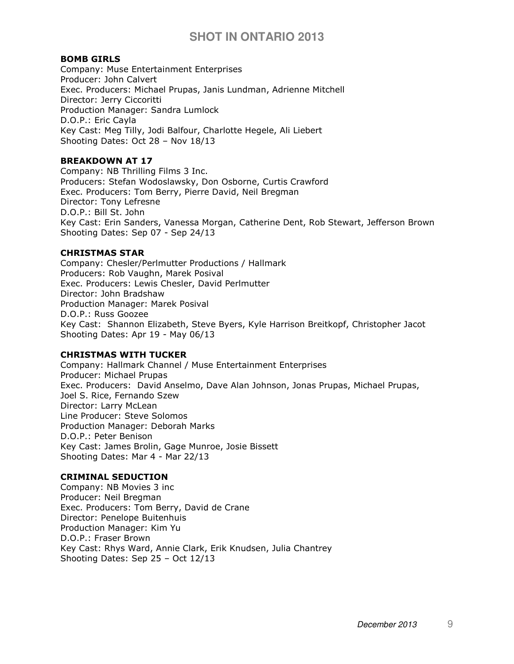#### BOMB GIRLS

Company: Muse Entertainment Enterprises Producer: John Calvert Exec. Producers: Michael Prupas, Janis Lundman, Adrienne Mitchell Director: Jerry Ciccoritti Production Manager: Sandra Lumlock D.O.P.: Eric Cayla Key Cast: Meg Tilly, Jodi Balfour, Charlotte Hegele, Ali Liebert Shooting Dates: Oct 28 – Nov 18/13

## BREAKDOWN AT 17

Company: NB Thrilling Films 3 Inc. Producers: Stefan Wodoslawsky, Don Osborne, Curtis Crawford Exec. Producers: Tom Berry, Pierre David, Neil Bregman Director: Tony Lefresne D.O.P.: Bill St. John Key Cast: Erin Sanders, Vanessa Morgan, Catherine Dent, Rob Stewart, Jefferson Brown Shooting Dates: Sep 07 - Sep 24/13

#### CHRISTMAS STAR

Company: Chesler/Perlmutter Productions / Hallmark Producers: Rob Vaughn, Marek Posival Exec. Producers: Lewis Chesler, David Perlmutter Director: John Bradshaw Production Manager: Marek Posival D.O.P.: Russ Goozee Key Cast: Shannon Elizabeth, Steve Byers, Kyle Harrison Breitkopf, Christopher Jacot Shooting Dates: Apr 19 - May 06/13

## CHRISTMAS WITH TUCKER

Company: Hallmark Channel / Muse Entertainment Enterprises Producer: Michael Prupas Exec. Producers: David Anselmo, Dave Alan Johnson, Jonas Prupas, Michael Prupas, Joel S. Rice, Fernando Szew Director: Larry McLean Line Producer: Steve Solomos Production Manager: Deborah Marks D.O.P.: Peter Benison Key Cast: James Brolin, Gage Munroe, Josie Bissett Shooting Dates: Mar 4 - Mar 22/13

## CRIMINAL SEDUCTION

Company: NB Movies 3 inc Producer: Neil Bregman Exec. Producers: Tom Berry, David de Crane Director: Penelope Buitenhuis Production Manager: Kim Yu D.O.P.: Fraser Brown Key Cast: Rhys Ward, Annie Clark, Erik Knudsen, Julia Chantrey Shooting Dates: Sep 25 – Oct 12/13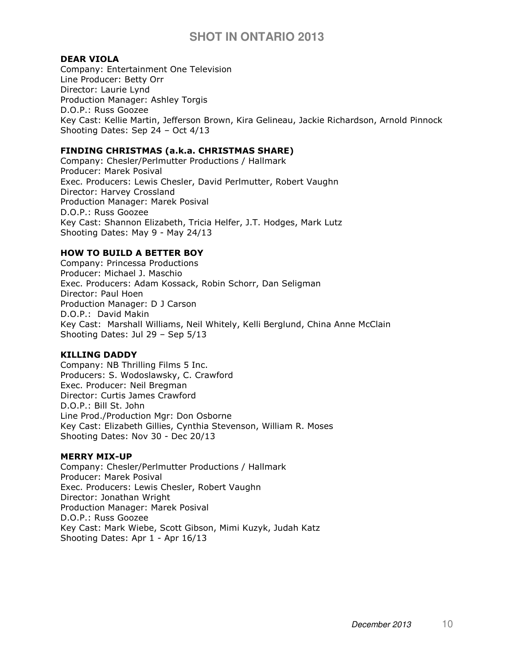## DEAR VIOLA

Company: Entertainment One Television Line Producer: Betty Orr Director: Laurie Lynd Production Manager: Ashley Torgis D.O.P.: Russ Goozee Key Cast: Kellie Martin, Jefferson Brown, Kira Gelineau, Jackie Richardson, Arnold Pinnock Shooting Dates: Sep 24 – Oct 4/13

#### FINDING CHRISTMAS (a.k.a. CHRISTMAS SHARE)

Company: Chesler/Perlmutter Productions / Hallmark Producer: Marek Posival Exec. Producers: Lewis Chesler, David Perlmutter, Robert Vaughn Director: Harvey Crossland Production Manager: Marek Posival D.O.P.: Russ Goozee Key Cast: Shannon Elizabeth, Tricia Helfer, J.T. Hodges, Mark Lutz Shooting Dates: May 9 - May 24/13

## HOW TO BUILD A BETTER BOY

Company: Princessa Productions Producer: Michael J. Maschio Exec. Producers: Adam Kossack, Robin Schorr, Dan Seligman Director: Paul Hoen Production Manager: D J Carson D.O.P.: David Makin Key Cast: Marshall Williams, Neil Whitely, Kelli Berglund, China Anne McClain Shooting Dates: Jul 29 – Sep 5/13

## KILLING DADDY

Company: NB Thrilling Films 5 Inc. Producers: S. Wodoslawsky, C. Crawford Exec. Producer: Neil Bregman Director: Curtis James Crawford D.O.P.: Bill St. John Line Prod./Production Mgr: Don Osborne Key Cast: Elizabeth Gillies, Cynthia Stevenson, William R. Moses Shooting Dates: Nov 30 - Dec 20/13

#### MERRY MIX-UP

Company: Chesler/Perlmutter Productions / Hallmark Producer: Marek Posival Exec. Producers: Lewis Chesler, Robert Vaughn Director: Jonathan Wright Production Manager: Marek Posival D.O.P.: Russ Goozee Key Cast: Mark Wiebe, Scott Gibson, Mimi Kuzyk, Judah Katz Shooting Dates: Apr 1 - Apr 16/13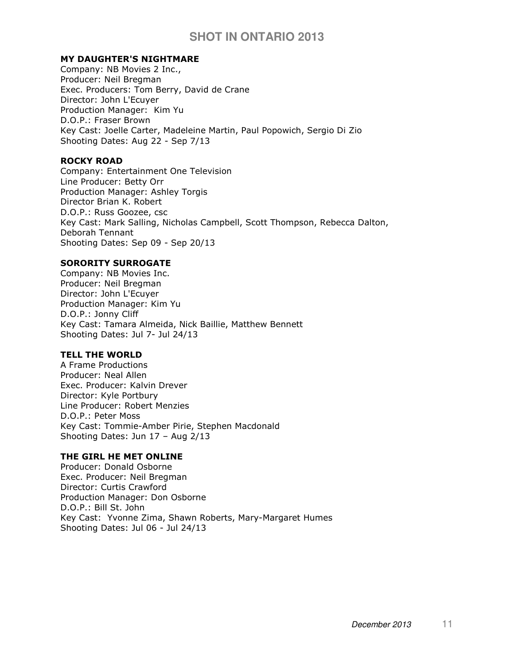## MY DAUGHTER'S NIGHTMARE

Company: NB Movies 2 Inc., Producer: Neil Bregman Exec. Producers: Tom Berry, David de Crane Director: John L'Ecuyer Production Manager: Kim Yu D.O.P.: Fraser Brown Key Cast: Joelle Carter, Madeleine Martin, Paul Popowich, Sergio Di Zio Shooting Dates: Aug 22 - Sep 7/13

## ROCKY ROAD

Company: Entertainment One Television Line Producer: Betty Orr Production Manager: Ashley Torgis Director Brian K. Robert D.O.P.: Russ Goozee, csc Key Cast: Mark Salling, Nicholas Campbell, Scott Thompson, Rebecca Dalton, Deborah Tennant Shooting Dates: Sep 09 - Sep 20/13

## SORORITY SURROGATE

Company: NB Movies Inc. Producer: Neil Bregman Director: John L'Ecuyer Production Manager: Kim Yu D.O.P.: Jonny Cliff Key Cast: Tamara Almeida, Nick Baillie, Matthew Bennett Shooting Dates: Jul 7- Jul 24/13

## TELL THE WORLD

A Frame Productions Producer: Neal Allen Exec. Producer: Kalvin Drever Director: Kyle Portbury Line Producer: Robert Menzies D.O.P.: Peter Moss Key Cast: Tommie-Amber Pirie, Stephen Macdonald Shooting Dates: Jun 17 – Aug 2/13

## THE GIRL HE MET ONLINE

Producer: Donald Osborne Exec. Producer: Neil Bregman Director: Curtis Crawford Production Manager: Don Osborne D.O.P.: Bill St. John Key Cast: Yvonne Zima, Shawn Roberts, Mary-Margaret Humes Shooting Dates: Jul 06 - Jul 24/13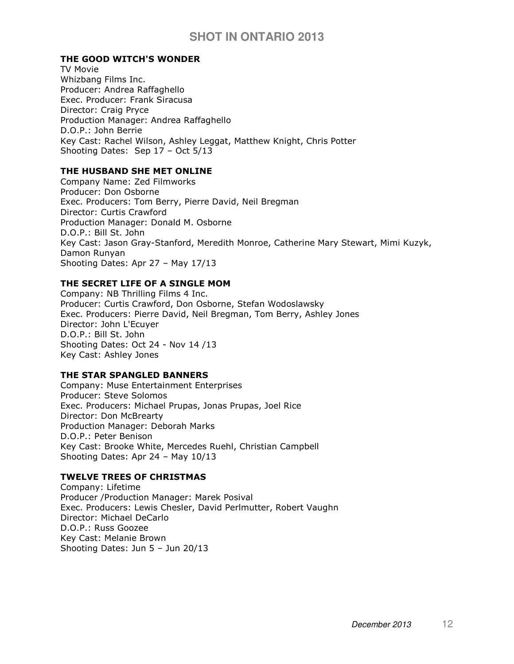## THE GOOD WITCH'S WONDER

TV Movie Whizbang Films Inc. Producer: Andrea Raffaghello Exec. Producer: Frank Siracusa Director: Craig Pryce Production Manager: Andrea Raffaghello D.O.P.: John Berrie Key Cast: Rachel Wilson, Ashley Leggat, Matthew Knight, Chris Potter Shooting Dates: Sep 17 – Oct 5/13

#### THE HUSBAND SHE MET ONLINE

Company Name: Zed Filmworks Producer: Don Osborne Exec. Producers: Tom Berry, Pierre David, Neil Bregman Director: Curtis Crawford Production Manager: Donald M. Osborne D.O.P.: Bill St. John Key Cast: Jason Gray-Stanford, Meredith Monroe, Catherine Mary Stewart, Mimi Kuzyk, Damon Runyan Shooting Dates: Apr 27 – May 17/13

#### THE SECRET LIFE OF A SINGLE MOM

Company: NB Thrilling Films 4 Inc. Producer: Curtis Crawford, Don Osborne, Stefan Wodoslawsky Exec. Producers: Pierre David, Neil Bregman, Tom Berry, Ashley Jones Director: John L'Ecuyer D.O.P.: Bill St. John Shooting Dates: Oct 24 - Nov 14 /13 Key Cast: Ashley Jones

#### THE STAR SPANGLED BANNERS

Company: Muse Entertainment Enterprises Producer: Steve Solomos Exec. Producers: Michael Prupas, Jonas Prupas, Joel Rice Director: Don McBrearty Production Manager: Deborah Marks D.O.P.: Peter Benison Key Cast: Brooke White, Mercedes Ruehl, Christian Campbell Shooting Dates: Apr 24 – May 10/13

## TWELVE TREES OF CHRISTMAS

Company: Lifetime Producer /Production Manager: Marek Posival Exec. Producers: Lewis Chesler, David Perlmutter, Robert Vaughn Director: Michael DeCarlo D.O.P.: Russ Goozee Key Cast: Melanie Brown Shooting Dates: Jun 5 – Jun 20/13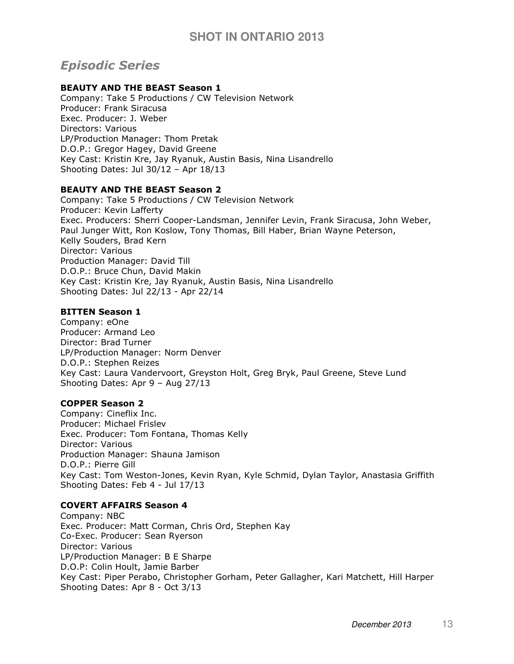# Episodic Series

## BEAUTY AND THE BEAST Season 1

Company: Take 5 Productions / CW Television Network Producer: Frank Siracusa Exec. Producer: J. Weber Directors: Various LP/Production Manager: Thom Pretak D.O.P.: Gregor Hagey, David Greene Key Cast: Kristin Kre, Jay Ryanuk, Austin Basis, Nina Lisandrello Shooting Dates: Jul 30/12 – Apr 18/13

## BEAUTY AND THE BEAST Season 2

Company: Take 5 Productions / CW Television Network Producer: Kevin Lafferty Exec. Producers: Sherri Cooper-Landsman, Jennifer Levin, Frank Siracusa, John Weber, Paul Junger Witt, Ron Koslow, Tony Thomas, Bill Haber, Brian Wayne Peterson, Kelly Souders, Brad Kern Director: Various Production Manager: David Till D.O.P.: Bruce Chun, David Makin Key Cast: Kristin Kre, Jay Ryanuk, Austin Basis, Nina Lisandrello Shooting Dates: Jul 22/13 - Apr 22/14

#### BITTEN Season 1

Company: eOne Producer: Armand Leo Director: Brad Turner LP/Production Manager: Norm Denver D.O.P.: Stephen Reizes Key Cast: Laura Vandervoort, Greyston Holt, Greg Bryk, Paul Greene, Steve Lund Shooting Dates: Apr 9 – Aug 27/13

## COPPER Season 2

Company: Cineflix Inc. Producer: Michael Frislev Exec. Producer: Tom Fontana, Thomas Kelly Director: Various Production Manager: Shauna Jamison D.O.P.: Pierre Gill Key Cast: Tom Weston-Jones, Kevin Ryan, Kyle Schmid, Dylan Taylor, Anastasia Griffith Shooting Dates: Feb 4 - Jul 17/13

## COVERT AFFAIRS Season 4

Company: NBC Exec. Producer: Matt Corman, Chris Ord, Stephen Kay Co-Exec. Producer: Sean Ryerson Director: Various LP/Production Manager: B E Sharpe D.O.P: Colin Hoult, Jamie Barber Key Cast: Piper Perabo, Christopher Gorham, Peter Gallagher, Kari Matchett, Hill Harper Shooting Dates: Apr 8 - Oct 3/13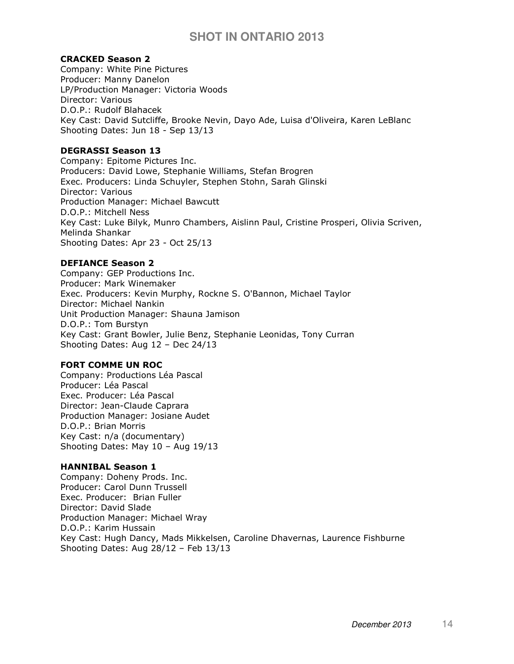#### CRACKED Season 2

Company: White Pine Pictures Producer: Manny Danelon LP/Production Manager: Victoria Woods Director: Various D.O.P.: Rudolf Blahacek Key Cast: David Sutcliffe, Brooke Nevin, Dayo Ade, Luisa d'Oliveira, Karen LeBlanc Shooting Dates: Jun 18 - Sep 13/13

#### DEGRASSI Season 13

Company: Epitome Pictures Inc. Producers: David Lowe, Stephanie Williams, Stefan Brogren Exec. Producers: Linda Schuyler, Stephen Stohn, Sarah Glinski Director: Various Production Manager: Michael Bawcutt D.O.P.: Mitchell Ness Key Cast: Luke Bilyk, Munro Chambers, Aislinn Paul, Cristine Prosperi, Olivia Scriven, Melinda Shankar Shooting Dates: Apr 23 - Oct 25/13

#### DEFIANCE Season 2

Company: GEP Productions Inc. Producer: Mark Winemaker Exec. Producers: Kevin Murphy, Rockne S. O'Bannon, Michael Taylor Director: Michael Nankin Unit Production Manager: Shauna Jamison D.O.P.: Tom Burstyn Key Cast: Grant Bowler, Julie Benz, Stephanie Leonidas, Tony Curran Shooting Dates: Aug 12 – Dec 24/13

## FORT COMME UN ROC

Company: Productions Léa Pascal Producer: Léa Pascal Exec. Producer: Léa Pascal Director: Jean-Claude Caprara Production Manager: Josiane Audet D.O.P.: Brian Morris Key Cast: n/a (documentary) Shooting Dates: May 10 – Aug 19/13

#### HANNIBAL Season 1

Company: Doheny Prods. Inc. Producer: Carol Dunn Trussell Exec. Producer: Brian Fuller Director: David Slade Production Manager: Michael Wray D.O.P.: Karim Hussain Key Cast: Hugh Dancy, Mads Mikkelsen, Caroline Dhavernas, Laurence Fishburne Shooting Dates: Aug 28/12 – Feb 13/13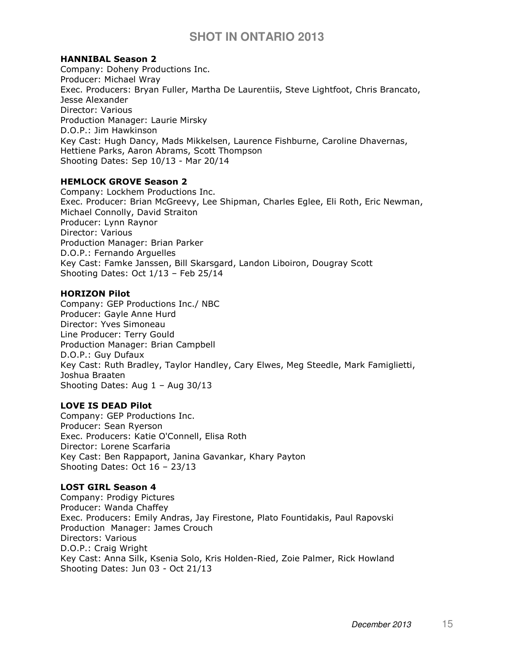#### HANNIBAL Season 2

Company: Doheny Productions Inc. Producer: Michael Wray Exec. Producers: Bryan Fuller, Martha De Laurentiis, Steve Lightfoot, Chris Brancato, Jesse Alexander Director: Various Production Manager: Laurie Mirsky D.O.P.: Jim Hawkinson Key Cast: Hugh Dancy, Mads Mikkelsen, Laurence Fishburne, Caroline Dhavernas, Hettiene Parks, Aaron Abrams, Scott Thompson Shooting Dates: Sep 10/13 - Mar 20/14

#### HEMLOCK GROVE Season 2

Company: Lockhem Productions Inc. Exec. Producer: Brian McGreevy, Lee Shipman, Charles Eglee, Eli Roth, Eric Newman, Michael Connolly, David Straiton Producer: Lynn Raynor Director: Various Production Manager: Brian Parker D.O.P.: Fernando Arguelles Key Cast: Famke Janssen, Bill Skarsgard, Landon Liboiron, Dougray Scott Shooting Dates: Oct 1/13 – Feb 25/14

#### HORIZON Pilot

Company: GEP Productions Inc./ NBC Producer: Gayle Anne Hurd Director: Yves Simoneau Line Producer: Terry Gould Production Manager: Brian Campbell D.O.P.: Guy Dufaux Key Cast: Ruth Bradley, Taylor Handley, Cary Elwes, Meg Steedle, Mark Famiglietti, Joshua Braaten Shooting Dates: Aug 1 – Aug 30/13

## LOVE IS DEAD Pilot

Company: GEP Productions Inc. Producer: Sean Ryerson Exec. Producers: Katie O'Connell, Elisa Roth Director: Lorene Scarfaria Key Cast: Ben Rappaport, Janina Gavankar, Khary Payton Shooting Dates: Oct 16 – 23/13

## LOST GIRL Season 4

Company: Prodigy Pictures Producer: Wanda Chaffey Exec. Producers: Emily Andras, Jay Firestone, Plato Fountidakis, Paul Rapovski Production Manager: James Crouch Directors: Various D.O.P.: Craig Wright Key Cast: Anna Silk, Ksenia Solo, Kris Holden-Ried, Zoie Palmer, Rick Howland Shooting Dates: Jun 03 - Oct 21/13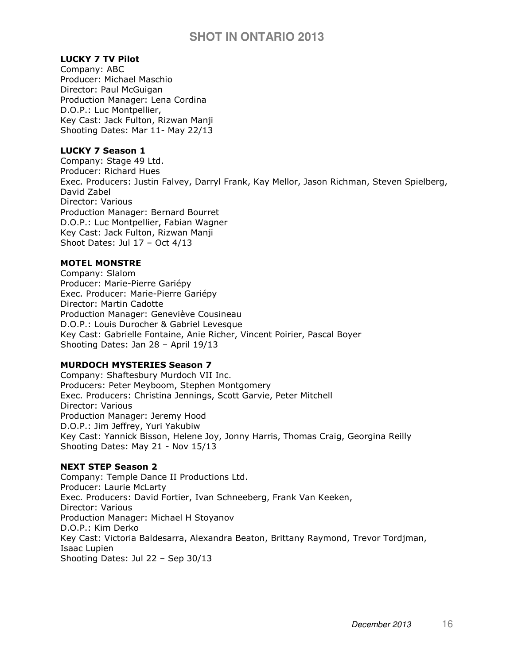## LUCKY 7 TV Pilot

Company: ABC Producer: Michael Maschio Director: Paul McGuigan Production Manager: Lena Cordina D.O.P.: Luc Montpellier, Key Cast: Jack Fulton, Rizwan Manji Shooting Dates: Mar 11- May 22/13

## LUCKY 7 Season 1

Company: Stage 49 Ltd. Producer: Richard Hues Exec. Producers: Justin Falvey, Darryl Frank, Kay Mellor, Jason Richman, Steven Spielberg, David Zabel Director: Various Production Manager: Bernard Bourret D.O.P.: Luc Montpellier, Fabian Wagner Key Cast: Jack Fulton, Rizwan Manji Shoot Dates: Jul 17 – Oct 4/13

## MOTEL MONSTRE

Company: Slalom Producer: Marie-Pierre Gariépy Exec. Producer: Marie-Pierre Gariépy Director: Martin Cadotte Production Manager: Geneviève Cousineau D.O.P.: Louis Durocher & Gabriel Levesque Key Cast: Gabrielle Fontaine, Anie Richer, Vincent Poirier, Pascal Boyer Shooting Dates: Jan 28 – April 19/13

## MURDOCH MYSTERIES Season 7

Company: Shaftesbury Murdoch VII Inc. Producers: Peter Meyboom, Stephen Montgomery Exec. Producers: Christina Jennings, Scott Garvie, Peter Mitchell Director: Various Production Manager: Jeremy Hood D.O.P.: Jim Jeffrey, Yuri Yakubiw Key Cast: Yannick Bisson, Helene Joy, Jonny Harris, Thomas Craig, Georgina Reilly Shooting Dates: May 21 - Nov 15/13

## NEXT STEP Season 2

Company: Temple Dance II Productions Ltd. Producer: Laurie McLarty Exec. Producers: David Fortier, Ivan Schneeberg, Frank Van Keeken, Director: Various Production Manager: Michael H Stoyanov D.O.P.: Kim Derko Key Cast: Victoria Baldesarra, Alexandra Beaton, Brittany Raymond, Trevor Tordjman, Isaac Lupien Shooting Dates: Jul 22 – Sep 30/13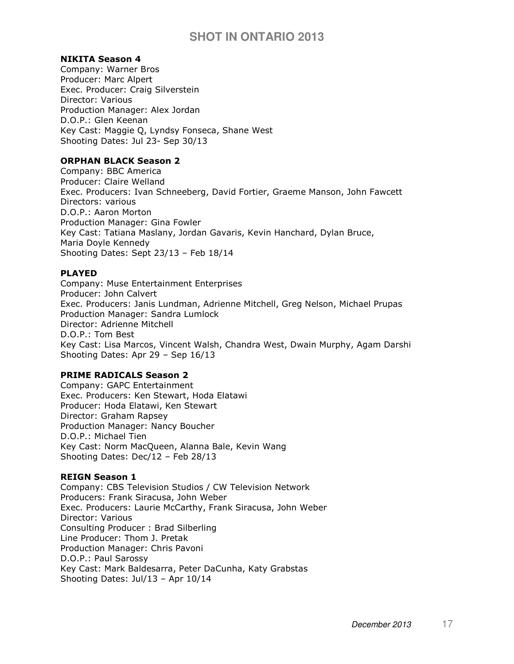#### NIKITA Season 4

Company: Warner Bros Producer: Marc Alpert Exec. Producer: Craig Silverstein Director: Various Production Manager: Alex Jordan D.O.P.: Glen Keenan Key Cast: Maggie Q, Lyndsy Fonseca, Shane West Shooting Dates: Jul 23- Sep 30/13

## ORPHAN BLACK Season 2

Company: BBC America Producer: Claire Welland Exec. Producers: Ivan Schneeberg, David Fortier, Graeme Manson, John Fawcett Directors: various D.O.P.: Aaron Morton Production Manager: Gina Fowler Key Cast: Tatiana Maslany, Jordan Gavaris, Kevin Hanchard, Dylan Bruce, Maria Doyle Kennedy Shooting Dates: Sept 23/13 – Feb 18/14

## PLAYED

Company: Muse Entertainment Enterprises Producer: John Calvert Exec. Producers: Janis Lundman, Adrienne Mitchell, Greg Nelson, Michael Prupas Production Manager: Sandra Lumlock Director: Adrienne Mitchell D.O.P.: Tom Best Key Cast: Lisa Marcos, Vincent Walsh, Chandra West, Dwain Murphy, Agam Darshi Shooting Dates: Apr 29 – Sep 16/13

## PRIME RADICALS Season 2

Company: GAPC Entertainment Exec. Producers: Ken Stewart, Hoda Elatawi Producer: Hoda Elatawi, Ken Stewart Director: Graham Rapsey Production Manager: Nancy Boucher D.O.P.: Michael Tien Key Cast: Norm MacQueen, Alanna Bale, Kevin Wang Shooting Dates: Dec/12 – Feb 28/13

#### REIGN Season 1

Company: CBS Television Studios / CW Television Network Producers: Frank Siracusa, John Weber Exec. Producers: Laurie McCarthy, Frank Siracusa, John Weber Director: Various Consulting Producer : Brad Silberling Line Producer: Thom J. Pretak Production Manager: Chris Pavoni D.O.P.: Paul Sarossy Key Cast: Mark Baldesarra, Peter DaCunha, Katy Grabstas Shooting Dates: Jul/13 – Apr 10/14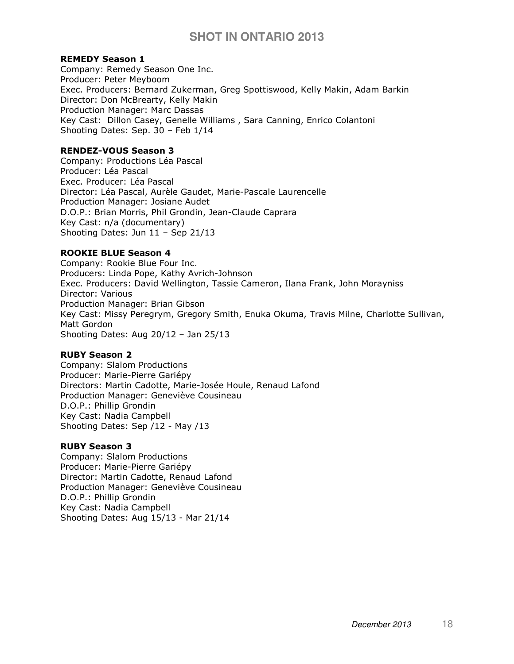#### REMEDY Season 1

Company: Remedy Season One Inc. Producer: Peter Meyboom Exec. Producers: Bernard Zukerman, Greg Spottiswood, Kelly Makin, Adam Barkin Director: Don McBrearty, Kelly Makin Production Manager: Marc Dassas Key Cast: Dillon Casey, Genelle Williams , Sara Canning, Enrico Colantoni Shooting Dates: Sep. 30 – Feb 1/14

#### RENDEZ-VOUS Season 3

Company: Productions Léa Pascal Producer: Léa Pascal Exec. Producer: Léa Pascal Director: Léa Pascal, Aurèle Gaudet, Marie-Pascale Laurencelle Production Manager: Josiane Audet D.O.P.: Brian Morris, Phil Grondin, Jean-Claude Caprara Key Cast: n/a (documentary) Shooting Dates: Jun 11 – Sep 21/13

#### ROOKIE BLUE Season 4

Company: Rookie Blue Four Inc. Producers: Linda Pope, Kathy Avrich-Johnson Exec. Producers: David Wellington, Tassie Cameron, Ilana Frank, John Morayniss Director: Various Production Manager: Brian Gibson Key Cast: Missy Peregrym, Gregory Smith, Enuka Okuma, Travis Milne, Charlotte Sullivan, Matt Gordon Shooting Dates: Aug 20/12 – Jan 25/13

#### RUBY Season 2

Company: Slalom Productions Producer: Marie-Pierre Gariépy Directors: Martin Cadotte, Marie-Josée Houle, Renaud Lafond Production Manager: Geneviève Cousineau D.O.P.: Phillip Grondin Key Cast: Nadia Campbell Shooting Dates: Sep /12 - May /13

#### RUBY Season 3

Company: Slalom Productions Producer: Marie-Pierre Gariépy Director: Martin Cadotte, Renaud Lafond Production Manager: Geneviève Cousineau D.O.P.: Phillip Grondin Key Cast: Nadia Campbell Shooting Dates: Aug 15/13 - Mar 21/14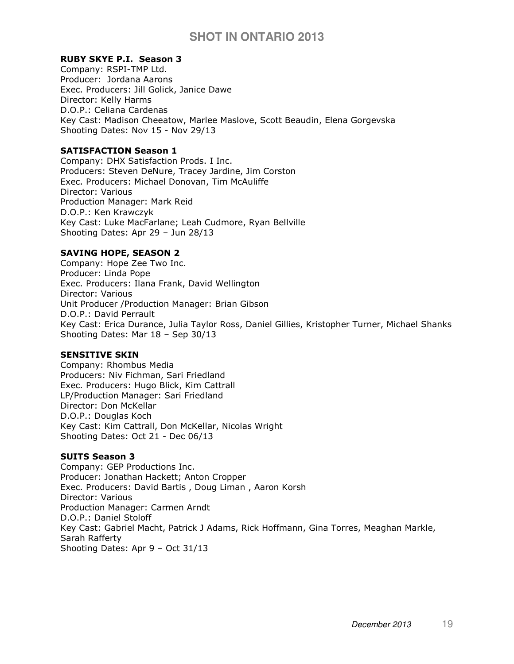#### RUBY SKYE P.I. Season 3

Company: RSPI-TMP Ltd. Producer: Jordana Aarons Exec. Producers: Jill Golick, Janice Dawe Director: Kelly Harms D.O.P.: Celiana Cardenas Key Cast: Madison Cheeatow, Marlee Maslove, Scott Beaudin, Elena Gorgevska Shooting Dates: Nov 15 - Nov 29/13

#### SATISFACTION Season 1

Company: DHX Satisfaction Prods. I Inc. Producers: Steven DeNure, Tracey Jardine, Jim Corston Exec. Producers: Michael Donovan, Tim McAuliffe Director: Various Production Manager: Mark Reid D.O.P.: Ken Krawczyk Key Cast: Luke MacFarlane; Leah Cudmore, Ryan Bellville Shooting Dates: Apr 29 – Jun 28/13

#### SAVING HOPE, SEASON 2

Company: Hope Zee Two Inc. Producer: Linda Pope Exec. Producers: Ilana Frank, David Wellington Director: Various Unit Producer /Production Manager: Brian Gibson D.O.P.: David Perrault Key Cast: Erica Durance, Julia Taylor Ross, Daniel Gillies, Kristopher Turner, Michael Shanks Shooting Dates: Mar 18 – Sep 30/13

#### SENSITIVE SKIN

Company: Rhombus Media Producers: Niv Fichman, Sari Friedland Exec. Producers: Hugo Blick, Kim Cattrall LP/Production Manager: Sari Friedland Director: Don McKellar D.O.P.: Douglas Koch Key Cast: Kim Cattrall, Don McKellar, Nicolas Wright Shooting Dates: Oct 21 - Dec 06/13

#### SUITS Season 3

Company: GEP Productions Inc. Producer: Jonathan Hackett; Anton Cropper Exec. Producers: David Bartis , Doug Liman , Aaron Korsh Director: Various Production Manager: Carmen Arndt D.O.P.: Daniel Stoloff Key Cast: Gabriel Macht, Patrick J Adams, Rick Hoffmann, Gina Torres, Meaghan Markle, Sarah Rafferty Shooting Dates: Apr 9 – Oct 31/13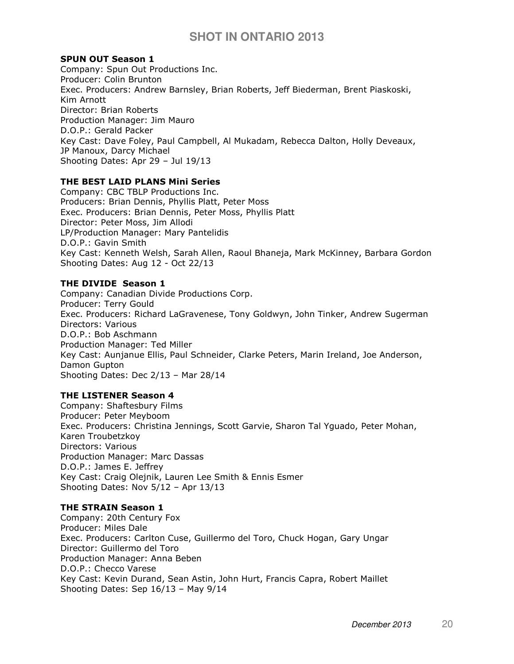#### SPUN OUT Season 1

Company: Spun Out Productions Inc. Producer: Colin Brunton Exec. Producers: Andrew Barnsley, Brian Roberts, Jeff Biederman, Brent Piaskoski, Kim Arnott Director: Brian Roberts Production Manager: Jim Mauro D.O.P.: Gerald Packer Key Cast: Dave Foley, Paul Campbell, Al Mukadam, Rebecca Dalton, Holly Deveaux, JP Manoux, Darcy Michael Shooting Dates: Apr 29 – Jul 19/13

## THE BEST LAID PLANS Mini Series

Company: CBC TBLP Productions Inc. Producers: Brian Dennis, Phyllis Platt, Peter Moss Exec. Producers: Brian Dennis, Peter Moss, Phyllis Platt Director: Peter Moss, Jim Allodi LP/Production Manager: Mary Pantelidis D.O.P.: Gavin Smith Key Cast: Kenneth Welsh, Sarah Allen, Raoul Bhaneja, Mark McKinney, Barbara Gordon Shooting Dates: Aug 12 - Oct 22/13

#### THE DIVIDE Season 1

Company: Canadian Divide Productions Corp. Producer: Terry Gould Exec. Producers: Richard LaGravenese, Tony Goldwyn, John Tinker, Andrew Sugerman Directors: Various D.O.P.: Bob Aschmann Production Manager: Ted Miller Key Cast: Aunjanue Ellis, Paul Schneider, Clarke Peters, Marin Ireland, Joe Anderson, Damon Gupton Shooting Dates: Dec 2/13 – Mar 28/14

#### THE LISTENER Season 4

Company: Shaftesbury Films Producer: Peter Meyboom Exec. Producers: Christina Jennings, Scott Garvie, Sharon Tal Yguado, Peter Mohan, Karen Troubetzkoy Directors: Various Production Manager: Marc Dassas D.O.P.: James E. Jeffrey Key Cast: Craig Olejnik, Lauren Lee Smith & Ennis Esmer Shooting Dates: Nov 5/12 – Apr 13/13

#### THE STRAIN Season 1

Company: 20th Century Fox Producer: Miles Dale Exec. Producers: Carlton Cuse, Guillermo del Toro, Chuck Hogan, Gary Ungar Director: Guillermo del Toro Production Manager: Anna Beben D.O.P.: Checco Varese Key Cast: Kevin Durand, Sean Astin, John Hurt, Francis Capra, Robert Maillet Shooting Dates: Sep 16/13 – May 9/14